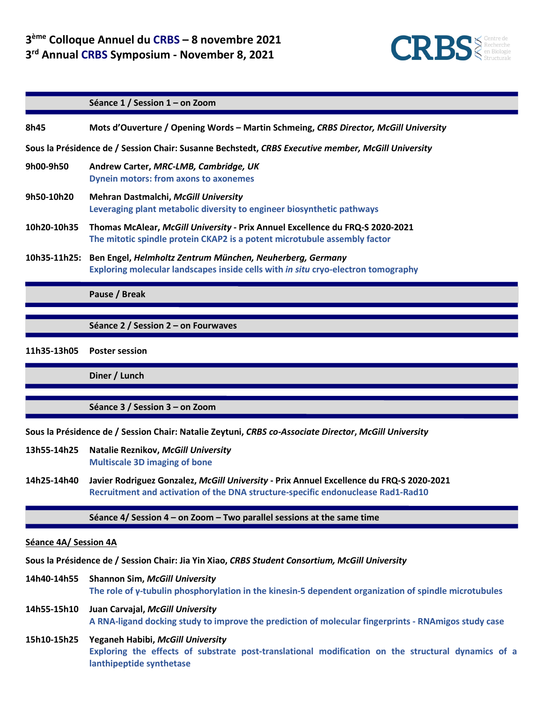

|                                                                                                    | Séance 1 / Session 1 - on Zoom                                                                                                                             |
|----------------------------------------------------------------------------------------------------|------------------------------------------------------------------------------------------------------------------------------------------------------------|
| 8h45                                                                                               | Mots d'Ouverture / Opening Words – Martin Schmeing, CRBS Director, McGill University                                                                       |
| Sous la Présidence de / Session Chair: Susanne Bechstedt, CRBS Executive member, McGill University |                                                                                                                                                            |
| 9h00-9h50                                                                                          | Andrew Carter, MRC-LMB, Cambridge, UK<br><b>Dynein motors: from axons to axonemes</b>                                                                      |
| 9h50-10h20                                                                                         | <b>Mehran Dastmalchi, McGill University</b><br>Leveraging plant metabolic diversity to engineer biosynthetic pathways                                      |
| 10h20-10h35                                                                                        | Thomas McAlear, McGill University - Prix Annuel Excellence du FRQ-S 2020-2021<br>The mitotic spindle protein CKAP2 is a potent microtubule assembly factor |
| 10h35-11h25:                                                                                       | Ben Engel, Helmholtz Zentrum München, Neuherberg, Germany<br>Exploring molecular landscapes inside cells with in situ cryo-electron tomography             |
|                                                                                                    | Pause / Break                                                                                                                                              |
|                                                                                                    | Séance 2 / Session 2 – on Fourwaves                                                                                                                        |

**11h35-13h05 Poster session**

**Diner / Lunch** 

**Séance 3 / Session 3 – on Zoom**

**Sous la Présidence de / Session Chair: Natalie Zeytuni,** *CRBS co-Associate Director***,** *McGill University*

- **13h55-14h25 Natalie Reznikov,** *McGill University* **Multiscale 3D imaging of bone**
- **14h25-14h40 Javier Rodriguez Gonzalez,** *McGill University* **- Prix Annuel Excellence du FRQ-S 2020-2021 Recruitment and activation of the DNA structure-specific endonuclease Rad1-Rad10**

#### **Séance 4/ Session 4 – on Zoom – Two parallel sessions at the same time**

#### **Séance 4A/ Session 4A**

**Sous la Présidence de / Session Chair: Jia Yin Xiao,** *CRBS Student Consortium, McGill University*

**14h40-14h55 Shannon Sim,** *McGill University* **The role of γ-tubulin phosphorylation in the kinesin-5 dependent organization of spindle microtubules**

- **14h55-15h10 Juan Carvajal,** *McGill University* **A RNA-ligand docking study to improve the prediction of molecular fingerprints - RNAmigos study case**
- **15h10-15h25 Yeganeh Habibi,** *McGill University* **Exploring the effects of substrate post-translational modification on the structural dynamics of a lanthipeptide synthetase**